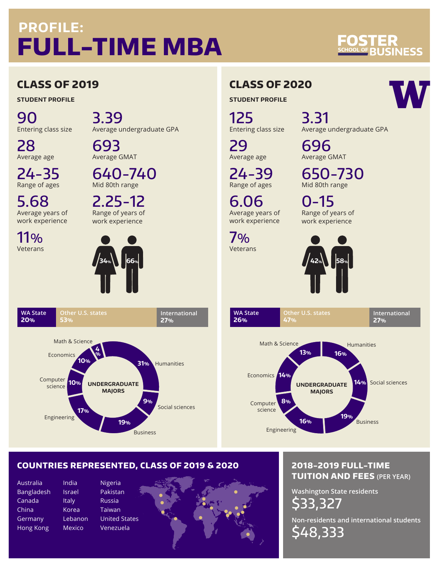# **PROFILE: FULL-TIME MBA**

# **NESS**

## **CLASS OF 2019**

**STUDENT PROFILE**

90 Entering class size

28 Average age

24-35 Range of ages

5.68 Average years of work experience

11% Veterans

> **WA State 20%**

3.39 Average undergraduate GPA

693 Average GMAT

640-740 Mid 80th range

2.25-12 Range of years of work experience



# **CLASS OF 2020**

**STUDENT PROFILE**

125 Entering class size

3.31 Average undergraduate GPA 696

650-730 Mid 80th range

Average GMAT

0-15

29 Average age

24-39 Range of ages

6.06 Average years of work experience

7% Veterans

> **WA State 26%**



**Other U.S. states**

**47%**

Range of years of work experience

> **International 27%**



## **COUNTRIES REPRESENTED, CLASS OF 2019 & 2020**

**19%**

**UNDERGRADUATE MAJORS**

**31%**

**International**

Social sciences

**27%**

Humanities

**9%**

Business

Australia Bangladesh Canada China **Germany** Hong Kong

India Israel Italy Korea

Engineering

Computer science

**17%**

**10%**

**Other U.S. states**

**4 %**

**10%**

Math & Science

**53%**

Economics

Mexico

Lebanon Nigeria Pakistan Russia Taiwan United States Venezuela



### **2018-2019 FULL-TIME TUITION AND FEES (PER YEAR)**

**Washington State residents** \$33,327

**Non-residents and international students** \$48,333